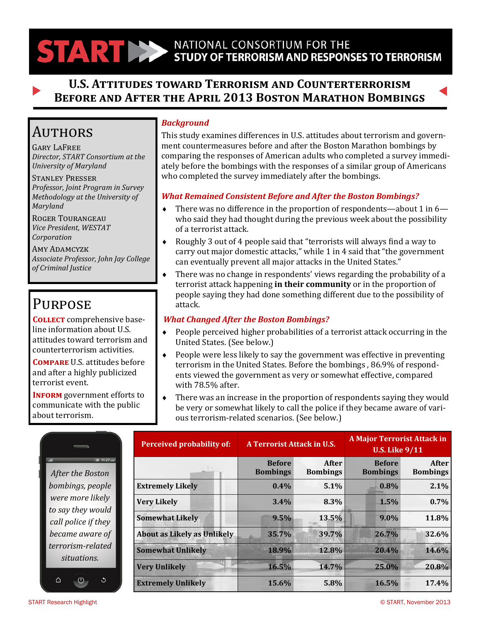# STARTING STUDY OF TERRORISM AND RESPONSES TO TERRORISM

## **U.S. Attitudes toward Terrorism and Counterterrorism Before and After the April 2013 Boston Marathon Bombings**

## **AUTHORS**

Gary LaFree *Director, START Consortium at the University of Maryland*

Stanley Presser *Professor, Joint Program in Survey Methodology at the University of Maryland*

Roger Tourangeau *Vice President, WESTAT Corporation*

Amy Adamcyzk *Associate Professor, John Jay College of Criminal Justice*

# **PURPOSE**

**Collect** comprehensive baseline information about U.S. attitudes toward terrorism and counterterrorism activities.

**Compare** U.S. attitudes before and after a highly publicized terrorist event.

**INFORM** government efforts to communicate with the public about terrorism.

#### *Background*

This study examines differences in U.S. attitudes about terrorism and government countermeasures before and after the Boston Marathon bombings by comparing the responses of American adults who completed a survey immediately before the bombings with the responses of a similar group of Americans who completed the survey immediately after the bombings.

#### *What Remained Consistent Before and After the Boston Bombings?*

- There was no difference in the proportion of respondents—about 1 in 6 who said they had thought during the previous week about the possibility of a terrorist attack.
- Roughly 3 out of 4 people said that "terrorists will always find a way to carry out major domestic attacks," while 1 in 4 said that "the government can eventually prevent all major attacks in the United States."
- There was no change in respondents' views regarding the probability of a terrorist attack happening **in their community** or in the proportion of people saying they had done something different due to the possibility of attack.

#### *What Changed After the Boston Bombings?*

- People perceived higher probabilities of a terrorist attack occurring in the United States. (See below.)
- People were less likely to say the government was effective in preventing terrorism in the United States. Before the bombings , 86.9% of respondents viewed the government as very or somewhat effective, compared with 78.5% after.
- There was an increase in the proportion of respondents saying they would be very or somewhat likely to call the police if they became aware of various terrorism-related scenarios. (See below.)

|                                                | <b>Perceived probability of:</b>   | A Terrorist Attack in U.S.       |                                 | <b>A Major Terrorist Attack in</b><br><b>U.S. Like 9/11</b> |                          |  |
|------------------------------------------------|------------------------------------|----------------------------------|---------------------------------|-------------------------------------------------------------|--------------------------|--|
| <b>TH 11:27 AM</b><br>. II<br>After the Boston |                                    | <b>Before</b><br><b>Bombings</b> | <b>After</b><br><b>Bombings</b> | <b>Before</b><br><b>Bombings</b>                            | After<br><b>Bombings</b> |  |
| bombings, people                               | <b>Extremely Likely</b>            | $0.4\%$                          | 5.1%                            | $0.8\%$                                                     | 2.1%                     |  |
| were more likely                               | <b>Very Likely</b>                 | 3.4%                             | 8.3%                            | 1.5%                                                        | $0.7\%$                  |  |
| to say they would<br>call police if they       | <b>Somewhat Likely</b>             | 9.5%                             | 13.5%                           | 9.0%                                                        | 11.8%                    |  |
| became aware of                                | <b>About as Likely as Unlikely</b> | 35.7%                            | 39.7%                           | 26.7%                                                       | 32.6%                    |  |
| terrorism-related<br>situations.               | <b>Somewhat Unlikely</b>           | 18.9%                            | 12.8%                           | 20.4%                                                       | 14.6%                    |  |
|                                                | <b>Very Unlikely</b>               | 16.5%                            | 14.7%                           | 25.0%                                                       | 20.8%                    |  |
| $\triangle$<br>$\circ$<br>$\circlearrowleft$   | <b>Extremely Unlikely</b>          | 15.6%                            | 5.8%                            | 16.5%                                                       | 17.4%                    |  |

 $\mathbf{m}$